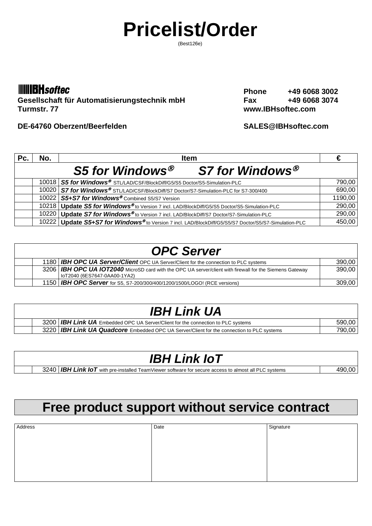# **Pricelist/Order**

(Best126e)

### **IIIIBH** softec

Gesellschaft für Automatisierungstechnik mbH<br>
Turmstr. 77<br>
Www.IBHsoftec.com

**DE-64760 Oberzent/Beerfelden SALES@IBHsoftec.com**

**Phone +49 6068 3002** www.IBHsoftec.com

| Pc. | No. | <b>Item</b>                                                                                             |         |
|-----|-----|---------------------------------------------------------------------------------------------------------|---------|
|     |     | S5 for Windows <sup>®</sup><br>S7 for Windows®                                                          |         |
|     |     | 10018   S5 for Windows <sup>®</sup> STL/LAD/CSF/BlockDiff/G5/S5 Doctor/S5-Simulation-PLC                | 790,00  |
|     |     | 10020 S7 for Windows® STL/LAD/CSF/BlockDiff/S7 Doctor/S7-Simulation-PLC for S7-300/400                  | 690,00  |
|     |     | 10022 S5+S7 for Windows® Combined S5/S7 Version                                                         | 1190,00 |
|     |     | 10218   Update S5 for Windows® to Version 7 incl. LAD/BlockDiff/G5/S5 Doctor/S5-Simulation-PLC          | 290,00  |
|     |     | 10220   Update S7 for Windows® to Version 7 incl. LAD/BlockDiff/S7 Doctor/S7-Simulation-PLC             | 290,00  |
|     |     | 10222   Update S5+S7 for Windows® to Version 7 incl. LAD/BlockDiff/G5/S5/S7 Doctor/S5/S7-Simulation-PLC | 450,00  |

| <b>OPC Server</b> |                                                                                                                                            |        |  |
|-------------------|--------------------------------------------------------------------------------------------------------------------------------------------|--------|--|
|                   | 1180   IBH OPC UA Server/Client OPC UA Server/Client for the connection to PLC systems                                                     | 390,00 |  |
|                   | 3206   IBH OPC UA IOT2040 MicroSD card with the OPC UA server/client with firewall for the Siemens Gateway<br>loT2040 (6ES7647-0AA00-1YA2) | 390,00 |  |
|                   | 1150   IBH OPC Server for S5, S7-200/300/400/1200/1500/LOGO! (RCE versions)                                                                | 309.00 |  |

# *IBH Link UA*

|  | 3200   <b>IBH Link UA</b> Embedded OPC UA Server/Client for the connection to PLC systems        |        |
|--|--------------------------------------------------------------------------------------------------|--------|
|  | 3220 <b>IBH Link UA Quadcore</b> Embedded OPC UA Server/Client for the connection to PLC systems | 790.00 |
|  |                                                                                                  |        |

### *IBH Link IoT*

3240 **IBH Link IoT** with pre-installed TeamViewer software for secure access to almost all PLC systems 490,00

# **Free product support without service contract**

| Address | Date | Signature |
|---------|------|-----------|
|         |      |           |
|         |      |           |
|         |      |           |
|         |      |           |
|         |      |           |
|         |      |           |